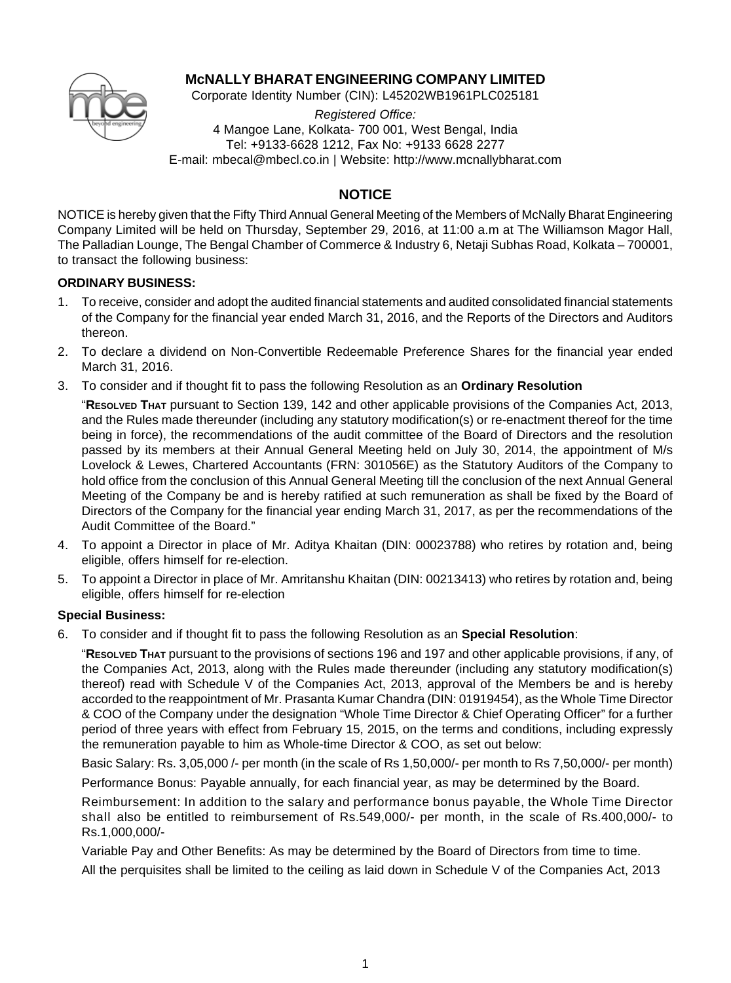

## **McNALLY BHARAT ENGINEERING COMPANY LIMITED**

Corporate Identity Number (CIN): L45202WB1961PLC025181

*Registered Office:* 4 Mangoe Lane, Kolkata- 700 001, West Bengal, India Tel: +9133-6628 1212, Fax No: +9133 6628 2277 E-mail: mbecal@mbecl.co.in | Website: http://www.mcnallybharat.com

# **NOTICE**

NOTICE is hereby given that the Fifty Third Annual General Meeting of the Members of McNally Bharat Engineering Company Limited will be held on Thursday, September 29, 2016, at 11:00 a.m at The Williamson Magor Hall, The Palladian Lounge, The Bengal Chamber of Commerce & Industry 6, Netaji Subhas Road, Kolkata – 700001, to transact the following business:

## **ORDINARY BUSINESS:**

- 1. To receive, consider and adopt the audited financial statements and audited consolidated financial statements of the Company for the financial year ended March 31, 2016, and the Reports of the Directors and Auditors thereon.
- 2. To declare a dividend on Non-Convertible Redeemable Preference Shares for the financial year ended March 31, 2016.
- 3. To consider and if thought fit to pass the following Resolution as an **Ordinary Resolution**
	- "**RESOLVED THAT** pursuant to Section 139, 142 and other applicable provisions of the Companies Act, 2013, and the Rules made thereunder (including any statutory modification(s) or re-enactment thereof for the time being in force), the recommendations of the audit committee of the Board of Directors and the resolution passed by its members at their Annual General Meeting held on July 30, 2014, the appointment of M/s Lovelock & Lewes, Chartered Accountants (FRN: 301056E) as the Statutory Auditors of the Company to hold office from the conclusion of this Annual General Meeting till the conclusion of the next Annual General Meeting of the Company be and is hereby ratified at such remuneration as shall be fixed by the Board of Directors of the Company for the financial year ending March 31, 2017, as per the recommendations of the Audit Committee of the Board."
- 4. To appoint a Director in place of Mr. Aditya Khaitan (DIN: 00023788) who retires by rotation and, being eligible, offers himself for re-election.
- 5. To appoint a Director in place of Mr. Amritanshu Khaitan (DIN: 00213413) who retires by rotation and, being eligible, offers himself for re-election

## **Special Business:**

6. To consider and if thought fit to pass the following Resolution as an **Special Resolution**:

"**RESOLVED THAT** pursuant to the provisions of sections 196 and 197 and other applicable provisions, if any, of the Companies Act, 2013, along with the Rules made thereunder (including any statutory modification(s) thereof) read with Schedule V of the Companies Act, 2013, approval of the Members be and is hereby accorded to the reappointment of Mr. Prasanta Kumar Chandra (DIN: 01919454), as the Whole Time Director & COO of the Company under the designation "Whole Time Director & Chief Operating Officer" for a further period of three years with effect from February 15, 2015, on the terms and conditions, including expressly the remuneration payable to him as Whole-time Director & COO, as set out below:

Basic Salary: Rs. 3,05,000 /- per month (in the scale of Rs 1,50,000/- per month to Rs 7,50,000/- per month)

Performance Bonus: Payable annually, for each financial year, as may be determined by the Board.

Reimbursement: In addition to the salary and performance bonus payable, the Whole Time Director shall also be entitled to reimbursement of Rs.549,000/- per month, in the scale of Rs.400,000/- to Rs.1,000,000/-

Variable Pay and Other Benefits: As may be determined by the Board of Directors from time to time.

All the perquisites shall be limited to the ceiling as laid down in Schedule V of the Companies Act, 2013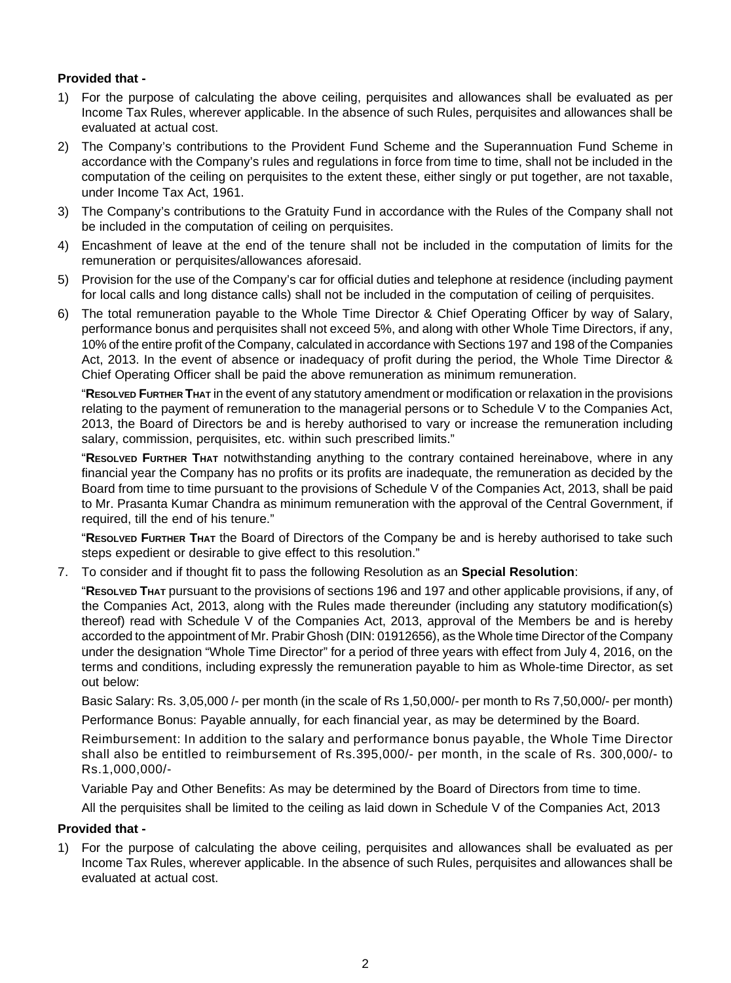## **Provided that -**

- 1) For the purpose of calculating the above ceiling, perquisites and allowances shall be evaluated as per Income Tax Rules, wherever applicable. In the absence of such Rules, perquisites and allowances shall be evaluated at actual cost.
- 2) The Company's contributions to the Provident Fund Scheme and the Superannuation Fund Scheme in accordance with the Company's rules and regulations in force from time to time, shall not be included in the computation of the ceiling on perquisites to the extent these, either singly or put together, are not taxable, under Income Tax Act, 1961.
- 3) The Company's contributions to the Gratuity Fund in accordance with the Rules of the Company shall not be included in the computation of ceiling on perquisites.
- 4) Encashment of leave at the end of the tenure shall not be included in the computation of limits for the remuneration or perquisites/allowances aforesaid.
- 5) Provision for the use of the Company's car for official duties and telephone at residence (including payment for local calls and long distance calls) shall not be included in the computation of ceiling of perquisites.
- 6) The total remuneration payable to the Whole Time Director & Chief Operating Officer by way of Salary, performance bonus and perquisites shall not exceed 5%, and along with other Whole Time Directors, if any, 10% of the entire profit of the Company, calculated in accordance with Sections 197 and 198 of the Companies Act, 2013. In the event of absence or inadequacy of profit during the period, the Whole Time Director & Chief Operating Officer shall be paid the above remuneration as minimum remuneration.

"**RESOLVED FURTHER THAT** in the event of any statutory amendment or modification or relaxation in the provisions relating to the payment of remuneration to the managerial persons or to Schedule V to the Companies Act, 2013, the Board of Directors be and is hereby authorised to vary or increase the remuneration including salary, commission, perquisites, etc. within such prescribed limits."

"**RESOLVED FURTHER THAT** notwithstanding anything to the contrary contained hereinabove, where in any financial year the Company has no profits or its profits are inadequate, the remuneration as decided by the Board from time to time pursuant to the provisions of Schedule V of the Companies Act, 2013, shall be paid to Mr. Prasanta Kumar Chandra as minimum remuneration with the approval of the Central Government, if required, till the end of his tenure."

"**RESOLVED FURTHER THAT** the Board of Directors of the Company be and is hereby authorised to take such steps expedient or desirable to give effect to this resolution."

7. To consider and if thought fit to pass the following Resolution as an **Special Resolution**:

"**RESOLVED THAT** pursuant to the provisions of sections 196 and 197 and other applicable provisions, if any, of the Companies Act, 2013, along with the Rules made thereunder (including any statutory modification(s) thereof) read with Schedule V of the Companies Act, 2013, approval of the Members be and is hereby accorded to the appointment of Mr. Prabir Ghosh (DIN: 01912656), as the Whole time Director of the Company under the designation "Whole Time Director" for a period of three years with effect from July 4, 2016, on the terms and conditions, including expressly the remuneration payable to him as Whole-time Director, as set out below:

Basic Salary: Rs. 3,05,000 /- per month (in the scale of Rs 1,50,000/- per month to Rs 7,50,000/- per month)

Performance Bonus: Payable annually, for each financial year, as may be determined by the Board.

Reimbursement: In addition to the salary and performance bonus payable, the Whole Time Director shall also be entitled to reimbursement of Rs.395,000/- per month, in the scale of Rs. 300,000/- to Rs.1,000,000/-

Variable Pay and Other Benefits: As may be determined by the Board of Directors from time to time.

All the perquisites shall be limited to the ceiling as laid down in Schedule V of the Companies Act, 2013

## **Provided that -**

1) For the purpose of calculating the above ceiling, perquisites and allowances shall be evaluated as per Income Tax Rules, wherever applicable. In the absence of such Rules, perquisites and allowances shall be evaluated at actual cost.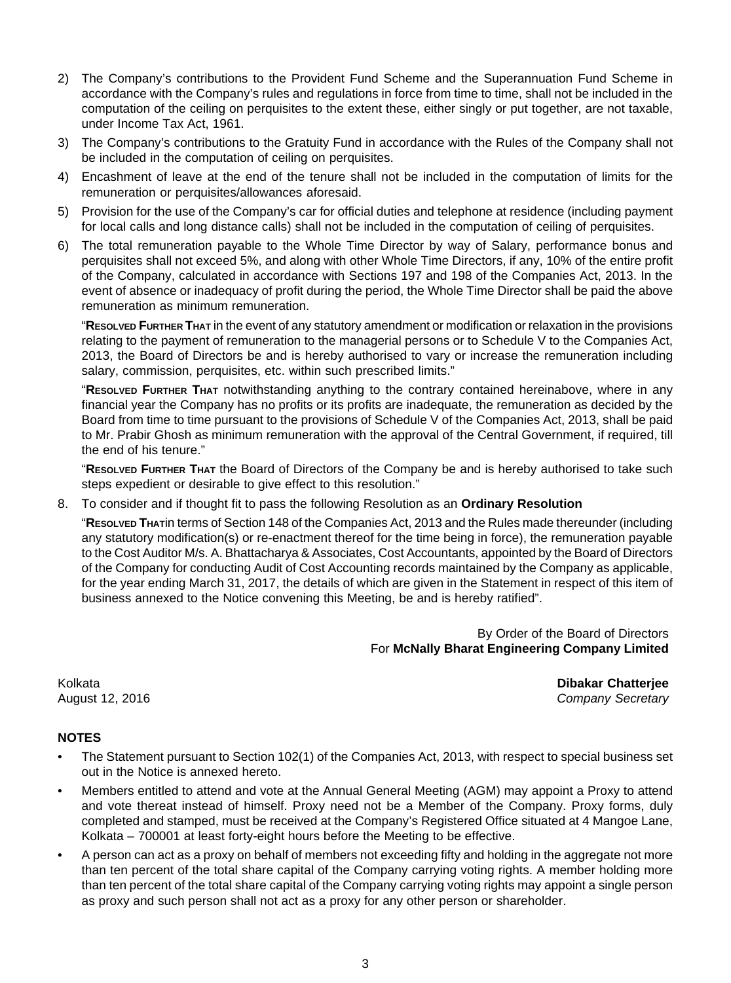- 2) The Company's contributions to the Provident Fund Scheme and the Superannuation Fund Scheme in accordance with the Company's rules and regulations in force from time to time, shall not be included in the computation of the ceiling on perquisites to the extent these, either singly or put together, are not taxable, under Income Tax Act, 1961.
- 3) The Company's contributions to the Gratuity Fund in accordance with the Rules of the Company shall not be included in the computation of ceiling on perquisites.
- 4) Encashment of leave at the end of the tenure shall not be included in the computation of limits for the remuneration or perquisites/allowances aforesaid.
- 5) Provision for the use of the Company's car for official duties and telephone at residence (including payment for local calls and long distance calls) shall not be included in the computation of ceiling of perquisites.
- 6) The total remuneration payable to the Whole Time Director by way of Salary, performance bonus and perquisites shall not exceed 5%, and along with other Whole Time Directors, if any, 10% of the entire profit of the Company, calculated in accordance with Sections 197 and 198 of the Companies Act, 2013. In the event of absence or inadequacy of profit during the period, the Whole Time Director shall be paid the above remuneration as minimum remuneration.

"**RESOLVED FURTHER THAT** in the event of any statutory amendment or modification or relaxation in the provisions relating to the payment of remuneration to the managerial persons or to Schedule V to the Companies Act, 2013, the Board of Directors be and is hereby authorised to vary or increase the remuneration including salary, commission, perquisites, etc. within such prescribed limits."

"**RESOLVED FURTHER THAT** notwithstanding anything to the contrary contained hereinabove, where in any financial year the Company has no profits or its profits are inadequate, the remuneration as decided by the Board from time to time pursuant to the provisions of Schedule V of the Companies Act, 2013, shall be paid to Mr. Prabir Ghosh as minimum remuneration with the approval of the Central Government, if required, till the end of his tenure."

"**RESOLVED FURTHER THAT** the Board of Directors of the Company be and is hereby authorised to take such steps expedient or desirable to give effect to this resolution."

8. To consider and if thought fit to pass the following Resolution as an **Ordinary Resolution**

"**RESOLVED THAT**in terms of Section 148 of the Companies Act, 2013 and the Rules made thereunder (including any statutory modification(s) or re-enactment thereof for the time being in force), the remuneration payable to the Cost Auditor M/s. A. Bhattacharya & Associates, Cost Accountants, appointed by the Board of Directors of the Company for conducting Audit of Cost Accounting records maintained by the Company as applicable, for the year ending March 31, 2017, the details of which are given in the Statement in respect of this item of business annexed to the Notice convening this Meeting, be and is hereby ratified".

> By Order of the Board of Directors For **McNally Bharat Engineering Company Limited**

Kolkata **Dibakar Chatterjee** August 12, 2016 *Company Secretary*

## **NOTES**

- The Statement pursuant to Section 102(1) of the Companies Act, 2013, with respect to special business set out in the Notice is annexed hereto.
- Members entitled to attend and vote at the Annual General Meeting (AGM) may appoint a Proxy to attend and vote thereat instead of himself. Proxy need not be a Member of the Company. Proxy forms, duly completed and stamped, must be received at the Company's Registered Office situated at 4 Mangoe Lane, Kolkata – 700001 at least forty-eight hours before the Meeting to be effective.
- A person can act as a proxy on behalf of members not exceeding fifty and holding in the aggregate not more than ten percent of the total share capital of the Company carrying voting rights. A member holding more than ten percent of the total share capital of the Company carrying voting rights may appoint a single person as proxy and such person shall not act as a proxy for any other person or shareholder.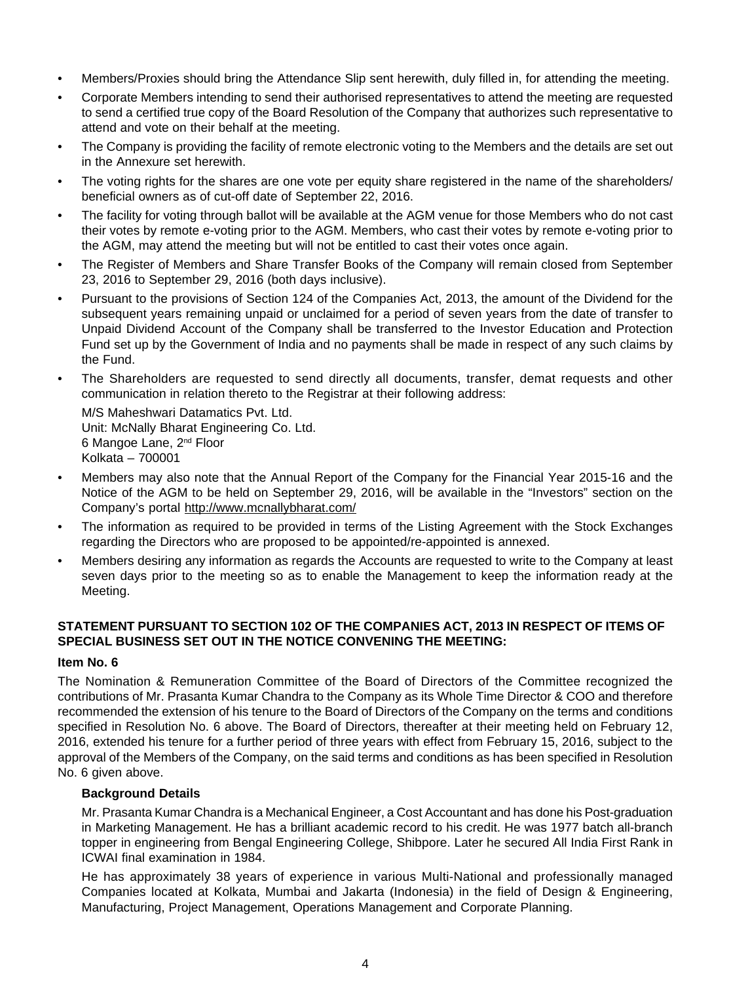- Members/Proxies should bring the Attendance Slip sent herewith, duly filled in, for attending the meeting.
- Corporate Members intending to send their authorised representatives to attend the meeting are requested to send a certified true copy of the Board Resolution of the Company that authorizes such representative to attend and vote on their behalf at the meeting.
- The Company is providing the facility of remote electronic voting to the Members and the details are set out in the Annexure set herewith.
- The voting rights for the shares are one vote per equity share registered in the name of the shareholders/ beneficial owners as of cut-off date of September 22, 2016.
- The facility for voting through ballot will be available at the AGM venue for those Members who do not cast their votes by remote e-voting prior to the AGM. Members, who cast their votes by remote e-voting prior to the AGM, may attend the meeting but will not be entitled to cast their votes once again.
- The Register of Members and Share Transfer Books of the Company will remain closed from September 23, 2016 to September 29, 2016 (both days inclusive).
- Pursuant to the provisions of Section 124 of the Companies Act, 2013, the amount of the Dividend for the subsequent years remaining unpaid or unclaimed for a period of seven years from the date of transfer to Unpaid Dividend Account of the Company shall be transferred to the Investor Education and Protection Fund set up by the Government of India and no payments shall be made in respect of any such claims by the Fund.
- The Shareholders are requested to send directly all documents, transfer, demat requests and other communication in relation thereto to the Registrar at their following address:

M/S Maheshwari Datamatics Pvt. Ltd. Unit: McNally Bharat Engineering Co. Ltd. 6 Mangoe Lane, 2nd Floor Kolkata – 700001

- Members may also note that the Annual Report of the Company for the Financial Year 2015-16 and the Notice of the AGM to be held on September 29, 2016, will be available in the "Investors" section on the Company's portal http://www.mcnallybharat.com/
- The information as required to be provided in terms of the Listing Agreement with the Stock Exchanges regarding the Directors who are proposed to be appointed/re-appointed is annexed.
- Members desiring any information as regards the Accounts are requested to write to the Company at least seven days prior to the meeting so as to enable the Management to keep the information ready at the Meeting.

## **STATEMENT PURSUANT TO SECTION 102 OF THE COMPANIES ACT, 2013 IN RESPECT OF ITEMS OF SPECIAL BUSINESS SET OUT IN THE NOTICE CONVENING THE MEETING:**

## **Item No. 6**

The Nomination & Remuneration Committee of the Board of Directors of the Committee recognized the contributions of Mr. Prasanta Kumar Chandra to the Company as its Whole Time Director & COO and therefore recommended the extension of his tenure to the Board of Directors of the Company on the terms and conditions specified in Resolution No. 6 above. The Board of Directors, thereafter at their meeting held on February 12, 2016, extended his tenure for a further period of three years with effect from February 15, 2016, subject to the approval of the Members of the Company, on the said terms and conditions as has been specified in Resolution No. 6 given above.

## **Background Details**

Mr. Prasanta Kumar Chandra is a Mechanical Engineer, a Cost Accountant and has done his Post-graduation in Marketing Management. He has a brilliant academic record to his credit. He was 1977 batch all-branch topper in engineering from Bengal Engineering College, Shibpore. Later he secured All India First Rank in ICWAI final examination in 1984.

He has approximately 38 years of experience in various Multi-National and professionally managed Companies located at Kolkata, Mumbai and Jakarta (Indonesia) in the field of Design & Engineering, Manufacturing, Project Management, Operations Management and Corporate Planning.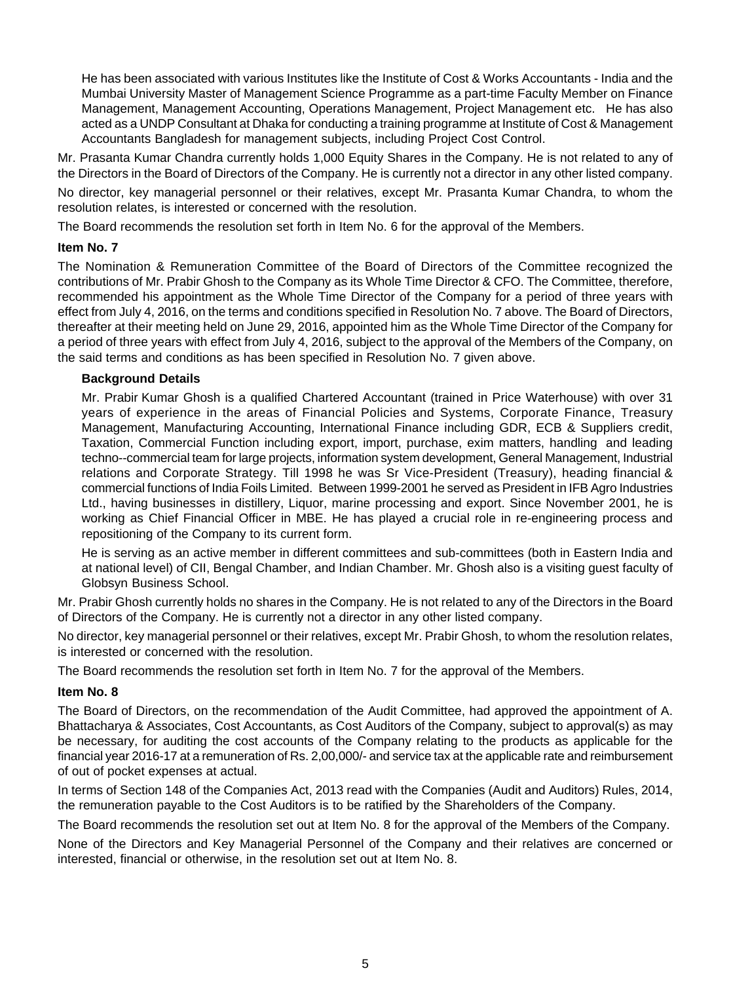He has been associated with various Institutes like the Institute of Cost & Works Accountants - India and the Mumbai University Master of Management Science Programme as a part-time Faculty Member on Finance Management, Management Accounting, Operations Management, Project Management etc. He has also acted as a UNDP Consultant at Dhaka for conducting a training programme at Institute of Cost & Management Accountants Bangladesh for management subjects, including Project Cost Control.

Mr. Prasanta Kumar Chandra currently holds 1,000 Equity Shares in the Company. He is not related to any of the Directors in the Board of Directors of the Company. He is currently not a director in any other listed company.

No director, key managerial personnel or their relatives, except Mr. Prasanta Kumar Chandra, to whom the resolution relates, is interested or concerned with the resolution.

The Board recommends the resolution set forth in Item No. 6 for the approval of the Members.

#### **Item No. 7**

The Nomination & Remuneration Committee of the Board of Directors of the Committee recognized the contributions of Mr. Prabir Ghosh to the Company as its Whole Time Director & CFO. The Committee, therefore, recommended his appointment as the Whole Time Director of the Company for a period of three years with effect from July 4, 2016, on the terms and conditions specified in Resolution No. 7 above. The Board of Directors, thereafter at their meeting held on June 29, 2016, appointed him as the Whole Time Director of the Company for a period of three years with effect from July 4, 2016, subject to the approval of the Members of the Company, on the said terms and conditions as has been specified in Resolution No. 7 given above.

## **Background Details**

Mr. Prabir Kumar Ghosh is a qualified Chartered Accountant (trained in Price Waterhouse) with over 31 years of experience in the areas of Financial Policies and Systems, Corporate Finance, Treasury Management, Manufacturing Accounting, International Finance including GDR, ECB & Suppliers credit, Taxation, Commercial Function including export, import, purchase, exim matters, handling and leading techno--commercial team for large projects, information system development, General Management, Industrial relations and Corporate Strategy. Till 1998 he was Sr Vice-President (Treasury), heading financial & commercial functions of India Foils Limited. Between 1999-2001 he served as President in IFB Agro Industries Ltd., having businesses in distillery, Liquor, marine processing and export. Since November 2001, he is working as Chief Financial Officer in MBE. He has played a crucial role in re-engineering process and repositioning of the Company to its current form.

He is serving as an active member in different committees and sub-committees (both in Eastern India and at national level) of CII, Bengal Chamber, and Indian Chamber. Mr. Ghosh also is a visiting guest faculty of Globsyn Business School.

Mr. Prabir Ghosh currently holds no shares in the Company. He is not related to any of the Directors in the Board of Directors of the Company. He is currently not a director in any other listed company.

No director, key managerial personnel or their relatives, except Mr. Prabir Ghosh, to whom the resolution relates, is interested or concerned with the resolution.

The Board recommends the resolution set forth in Item No. 7 for the approval of the Members.

## **Item No. 8**

The Board of Directors, on the recommendation of the Audit Committee, had approved the appointment of A. Bhattacharya & Associates, Cost Accountants, as Cost Auditors of the Company, subject to approval(s) as may be necessary, for auditing the cost accounts of the Company relating to the products as applicable for the financial year 2016-17 at a remuneration of Rs. 2,00,000/- and service tax at the applicable rate and reimbursement of out of pocket expenses at actual.

In terms of Section 148 of the Companies Act, 2013 read with the Companies (Audit and Auditors) Rules, 2014, the remuneration payable to the Cost Auditors is to be ratified by the Shareholders of the Company.

The Board recommends the resolution set out at Item No. 8 for the approval of the Members of the Company.

None of the Directors and Key Managerial Personnel of the Company and their relatives are concerned or interested, financial or otherwise, in the resolution set out at Item No. 8.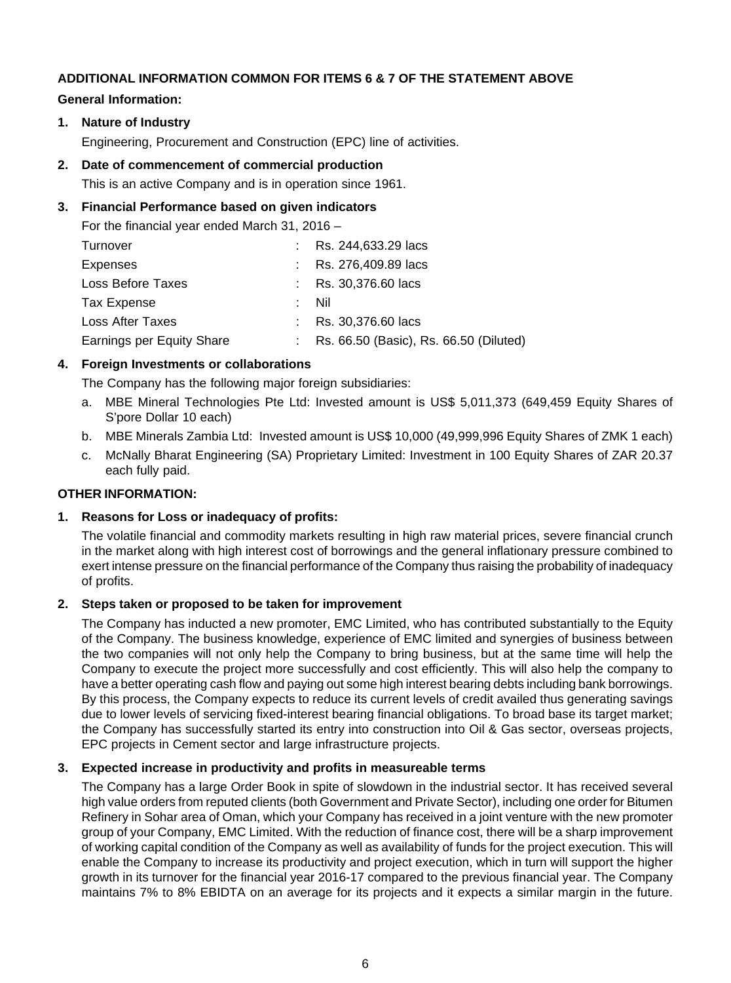## **ADDITIONAL INFORMATION COMMON FOR ITEMS 6 & 7 OF THE STATEMENT ABOVE**

#### **General Information:**

**1. Nature of Industry**

Engineering, Procurement and Construction (EPC) line of activities.

#### **2. Date of commencement of commercial production**

This is an active Company and is in operation since 1961.

## **3. Financial Performance based on given indicators**

For the financial year ended March 31, 2016 –

| Turnover                  | : Rs. 244,633.29 lacs                    |
|---------------------------|------------------------------------------|
| Expenses                  | : Rs. 276,409.89 lacs                    |
| Loss Before Taxes         | : Rs. $30,376.60$ lacs                   |
| Tax Expense               | - Nil                                    |
| Loss After Taxes          | : Rs. $30,376.60$ lacs                   |
| Earnings per Equity Share | : Rs. 66.50 (Basic), Rs. 66.50 (Diluted) |

## **4. Foreign Investments or collaborations**

The Company has the following major foreign subsidiaries:

- a. MBE Mineral Technologies Pte Ltd: Invested amount is US\$ 5,011,373 (649,459 Equity Shares of S'pore Dollar 10 each)
- b. MBE Minerals Zambia Ltd: Invested amount is US\$ 10,000 (49,999,996 Equity Shares of ZMK 1 each)
- c. McNally Bharat Engineering (SA) Proprietary Limited: Investment in 100 Equity Shares of ZAR 20.37 each fully paid.

### **OTHER INFORMATION:**

## **1. Reasons for Loss or inadequacy of profits:**

The volatile financial and commodity markets resulting in high raw material prices, severe financial crunch in the market along with high interest cost of borrowings and the general inflationary pressure combined to exert intense pressure on the financial performance of the Company thus raising the probability of inadequacy of profits.

## **2. Steps taken or proposed to be taken for improvement**

The Company has inducted a new promoter, EMC Limited, who has contributed substantially to the Equity of the Company. The business knowledge, experience of EMC limited and synergies of business between the two companies will not only help the Company to bring business, but at the same time will help the Company to execute the project more successfully and cost efficiently. This will also help the company to have a better operating cash flow and paying out some high interest bearing debts including bank borrowings. By this process, the Company expects to reduce its current levels of credit availed thus generating savings due to lower levels of servicing fixed-interest bearing financial obligations. To broad base its target market; the Company has successfully started its entry into construction into Oil & Gas sector, overseas projects, EPC projects in Cement sector and large infrastructure projects.

## **3. Expected increase in productivity and profits in measureable terms**

The Company has a large Order Book in spite of slowdown in the industrial sector. It has received several high value orders from reputed clients (both Government and Private Sector), including one order for Bitumen Refinery in Sohar area of Oman, which your Company has received in a joint venture with the new promoter group of your Company, EMC Limited. With the reduction of finance cost, there will be a sharp improvement of working capital condition of the Company as well as availability of funds for the project execution. This will enable the Company to increase its productivity and project execution, which in turn will support the higher growth in its turnover for the financial year 2016-17 compared to the previous financial year. The Company maintains 7% to 8% EBIDTA on an average for its projects and it expects a similar margin in the future.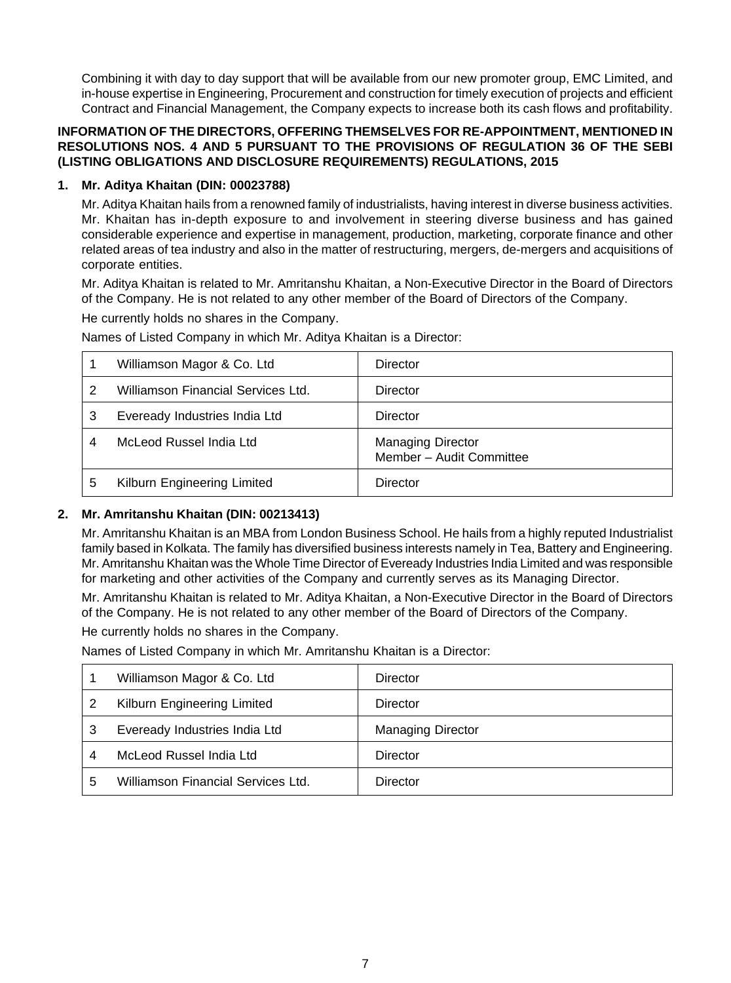Combining it with day to day support that will be available from our new promoter group, EMC Limited, and in-house expertise in Engineering, Procurement and construction for timely execution of projects and efficient Contract and Financial Management, the Company expects to increase both its cash flows and profitability.

### **INFORMATION OF THE DIRECTORS, OFFERING THEMSELVES FOR RE-APPOINTMENT, MENTIONED IN RESOLUTIONS NOS. 4 AND 5 PURSUANT TO THE PROVISIONS OF REGULATION 36 OF THE SEBI (LISTING OBLIGATIONS AND DISCLOSURE REQUIREMENTS) REGULATIONS, 2015**

## **1. Mr. Aditya Khaitan (DIN: 00023788)**

Mr. Aditya Khaitan hails from a renowned family of industrialists, having interest in diverse business activities. Mr. Khaitan has in-depth exposure to and involvement in steering diverse business and has gained considerable experience and expertise in management, production, marketing, corporate finance and other related areas of tea industry and also in the matter of restructuring, mergers, de-mergers and acquisitions of corporate entities.

Mr. Aditya Khaitan is related to Mr. Amritanshu Khaitan, a Non-Executive Director in the Board of Directors of the Company. He is not related to any other member of the Board of Directors of the Company.

He currently holds no shares in the Company.

Names of Listed Company in which Mr. Aditya Khaitan is a Director:

|   | Williamson Magor & Co. Ltd         | Director                                             |
|---|------------------------------------|------------------------------------------------------|
|   | Williamson Financial Services Ltd. | Director                                             |
| 3 | Eveready Industries India Ltd      | Director                                             |
| 4 | McLeod Russel India Ltd            | <b>Managing Director</b><br>Member - Audit Committee |
| 5 | Kilburn Engineering Limited        | Director                                             |

## **2. Mr. Amritanshu Khaitan (DIN: 00213413)**

Mr. Amritanshu Khaitan is an MBA from London Business School. He hails from a highly reputed Industrialist family based in Kolkata. The family has diversified business interests namely in Tea, Battery and Engineering. Mr. Amritanshu Khaitan was the Whole Time Director of Eveready Industries India Limited and was responsible for marketing and other activities of the Company and currently serves as its Managing Director.

Mr. Amritanshu Khaitan is related to Mr. Aditya Khaitan, a Non-Executive Director in the Board of Directors of the Company. He is not related to any other member of the Board of Directors of the Company.

He currently holds no shares in the Company.

Names of Listed Company in which Mr. Amritanshu Khaitan is a Director:

| Williamson Magor & Co. Ltd         | Director                 |
|------------------------------------|--------------------------|
| Kilburn Engineering Limited        | Director                 |
| Eveready Industries India Ltd      | <b>Managing Director</b> |
| McLeod Russel India Ltd            | Director                 |
| Williamson Financial Services Ltd. | Director                 |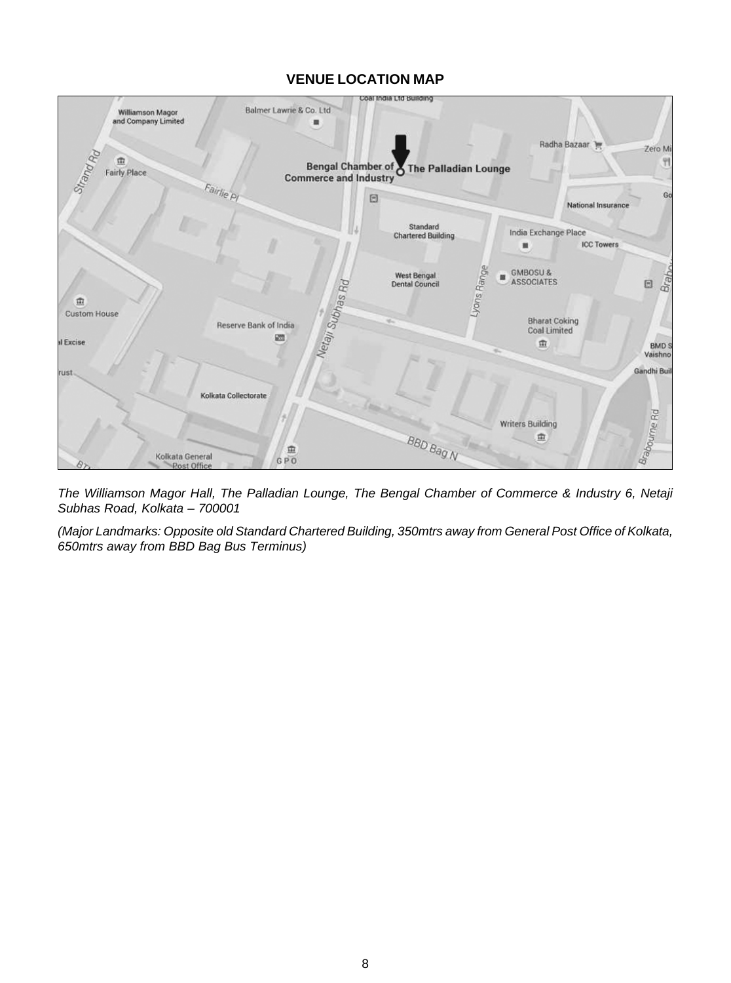## **VENUE LOCATION MAP**



*The Williamson Magor Hall, The Palladian Lounge, The Bengal Chamber of Commerce & Industry 6, Netaji Subhas Road, Kolkata – 700001*

*(Major Landmarks: Opposite old Standard Chartered Building, 350mtrs away from General Post Office of Kolkata, 650mtrs away from BBD Bag Bus Terminus)*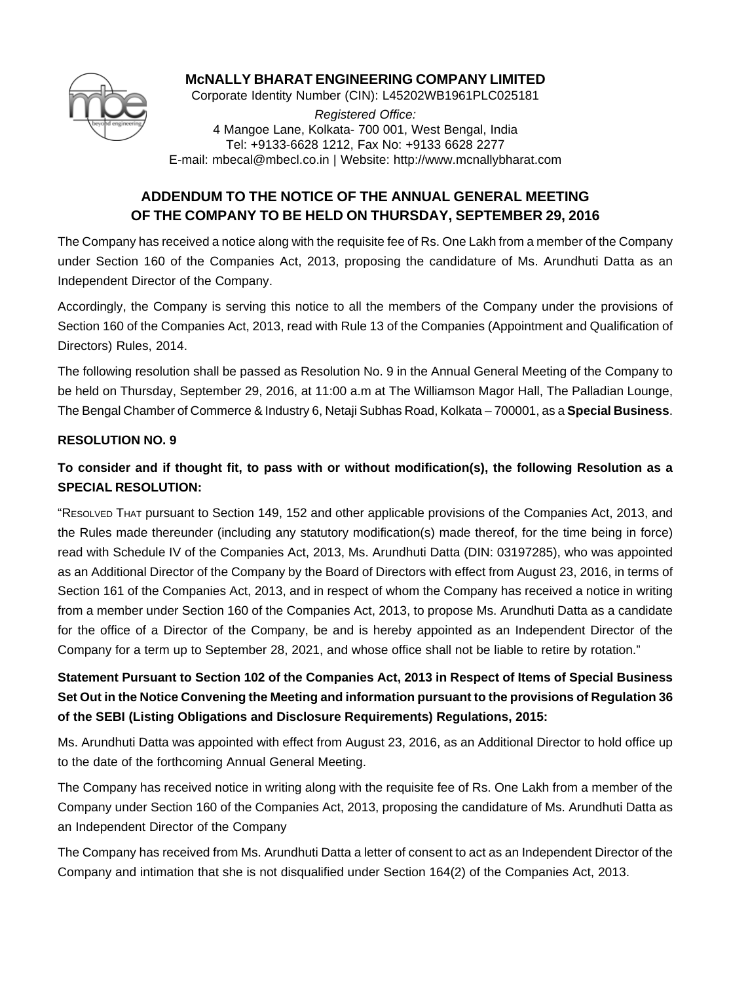

## **McNALLY BHARAT ENGINEERING COMPANY LIMITED**

Corporate Identity Number (CIN): L45202WB1961PLC025181

*Registered Office:* 4 Mangoe Lane, Kolkata- 700 001, West Bengal, India Tel: +9133-6628 1212, Fax No: +9133 6628 2277 E-mail: mbecal@mbecl.co.in | Website: http://www.mcnallybharat.com

# **ADDENDUM TO THE NOTICE OF THE ANNUAL GENERAL MEETING OF THE COMPANY TO BE HELD ON THURSDAY, SEPTEMBER 29, 2016**

The Company has received a notice along with the requisite fee of Rs. One Lakh from a member of the Company under Section 160 of the Companies Act, 2013, proposing the candidature of Ms. Arundhuti Datta as an Independent Director of the Company.

Accordingly, the Company is serving this notice to all the members of the Company under the provisions of Section 160 of the Companies Act, 2013, read with Rule 13 of the Companies (Appointment and Qualification of Directors) Rules, 2014.

The following resolution shall be passed as Resolution No. 9 in the Annual General Meeting of the Company to be held on Thursday, September 29, 2016, at 11:00 a.m at The Williamson Magor Hall, The Palladian Lounge, The Bengal Chamber of Commerce & Industry 6, Netaji Subhas Road, Kolkata – 700001, as a **Special Business**.

## **RESOLUTION NO. 9**

# **To consider and if thought fit, to pass with or without modification(s), the following Resolution as a SPECIAL RESOLUTION:**

"RESOLVED THAT pursuant to Section 149, 152 and other applicable provisions of the Companies Act, 2013, and the Rules made thereunder (including any statutory modification(s) made thereof, for the time being in force) read with Schedule IV of the Companies Act, 2013, Ms. Arundhuti Datta (DIN: 03197285), who was appointed as an Additional Director of the Company by the Board of Directors with effect from August 23, 2016, in terms of Section 161 of the Companies Act, 2013, and in respect of whom the Company has received a notice in writing from a member under Section 160 of the Companies Act, 2013, to propose Ms. Arundhuti Datta as a candidate for the office of a Director of the Company, be and is hereby appointed as an Independent Director of the Company for a term up to September 28, 2021, and whose office shall not be liable to retire by rotation."

# **Statement Pursuant to Section 102 of the Companies Act, 2013 in Respect of Items of Special Business Set Out in the Notice Convening the Meeting and information pursuant to the provisions of Regulation 36 of the SEBI (Listing Obligations and Disclosure Requirements) Regulations, 2015:**

Ms. Arundhuti Datta was appointed with effect from August 23, 2016, as an Additional Director to hold office up to the date of the forthcoming Annual General Meeting.

The Company has received notice in writing along with the requisite fee of Rs. One Lakh from a member of the Company under Section 160 of the Companies Act, 2013, proposing the candidature of Ms. Arundhuti Datta as an Independent Director of the Company

The Company has received from Ms. Arundhuti Datta a letter of consent to act as an Independent Director of the Company and intimation that she is not disqualified under Section 164(2) of the Companies Act, 2013.